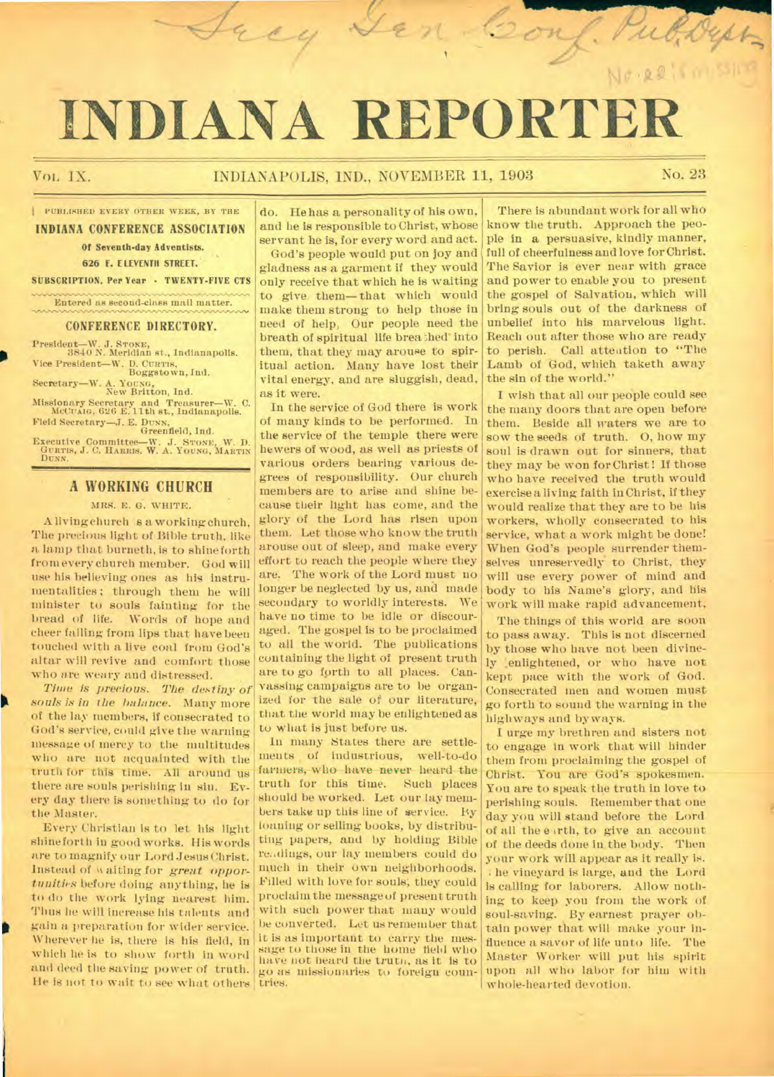# **INDIANA REPORTER**

Jacy

#### VOL IX. **INDIANAPOLIS, IND., NOVEMBER 11, 1903** No. 23

m san

**PUBLISHED EVERY OTHER WEEK, BY THE** 

**INDIANA CONFERENCE ASSOCIATION** 

Of Seventh-day Adventists.

626 E. ELEVENTH STREET. SUBSCRIPTION, Per Year • TWENTY-FIVE CTS

Entered as second-class mail matter.

**CONFERENCE DIRECTORY.** 

President—W. J. STORE, 3840 N. Meridian st., Indianapolis. Vice President—W. D. CURTIS, Boggstown, Ind.

Secretary—W. A. YOUNG, New Britton, Ind. Missionary Secretary and Treasurer—W. C. McCusio, 626 E.11th et., Indianapolis. Field Secretary—J. E. DUNN, Greenfield, Ind.

Executive Committee-W. J. STONE, W. D. GURTIS, J. C. HARRIS, W. A. YOUNG, MARTIN DUNN.

# **A WORKING CHURCH**

MRS. E. G. WHITE.

A living church is a working church, The precious light of Bible truth, like a lamp that burneth, is to shine forth from every church member. God will use his believing ones as his instrumentalities; through them he will minister to souls fainting for the bread of life. Words of hope and cheer falling from lips that have been touched with a live coal from God's altar will revive and comfort those who are weary and distressed.

*Time is precious. The destiny of souls is in the balance.* Many more of the lay members, if consecrated to God's service, could give the warning message of mercy to the multitudes who are not acquainted with the truth for this time. All around us there are souls perishing in sin. Every day there is something to do for the Master.

h

Every Christian is to let his light shine forth in good works. His words are to magnify our Lord Jesus Christ. Instead of waiting for great oppor*tunities* before doing anything, he is to do the work *lying* nearest him. Thus he will increase his talents and gain a preparation for wider service. Wherever he is, there is his field, in which he is to show forth in word and deed the saving power of truth. He is not to wait to see what others

do. He has a personality of his own, and he is responsible to Christ, whose servant he is, for every word and act.

God's people would put on joy and gladness as a garment if they would only receive that which he is waiting to give them—that which would make them strong to help those in need of help, Our people need the breath of spiritual life breathed into them, that they may arouse to spiritual action. Many have lost their vital energy, and are sluggish, dead, as it were.

In the service of God there is work of many kinds to be performed. In the service of the temple there were hewers of wood, as well as priests of various orders bearing various degrees of responsibility. Our church members are to arise and shine because their light has come, and the glory of the Lord has risen upon them. Let those who know the truth arouse out of sleep, and make every effort to reach the people where they are. The work of the Lord must no longer be neglected by us, and made secondary to worldly interests. We have no time to be idle or discouraged. The gospel is to be proclaimed to all the world. The publications containing the light of present truth are to go forth to all places. Canvassing campaigns are to be organized for the sale of our literature, that the world may be enlightened as to what is just before us.

In many States there are settlements of industrious, well-to-do farmers, who have never heard the<br>truth for this time. Such places truth for this time. should be worked. Let our lay members take up this line of service. By loaning or selling books, by distributing papers, and by holding Bible readings, our lay members could do much in their own neighborhoods. Filled with love for souls; they could proclaim the message of present truth with such power that many would be converted. Let us remember that it is as important to carry the message to those in the home field who have not heard the trutn, as it is to go as missionaries to foreign countries.

There is abundant work for all who know the truth. Approach the people in a persuasive, kindly manner, full of cheerfulness and love for Christ. The Savior is ever near with grace and power to enable you to present the gospel of Salvation, which will bring souls out of the darkness of unbelief into his marvelous light. Reach out after those who are ready to perish. Call attention to "The Lamb of God, which taketh away the sin of the world."

Conf.

I wish that all our people could see the many doors that are open before them. Beside all waters we are to sow the seeds of truth. 0, how my soul is drawn out for sinners, that they may be won for Christ! If those who have received the truth would exercise a living faith in Christ, if they would realize that they are to be his workers, wholly consecrated to his service, what a work might be done! When God's people surrender themselves unreservedly to Christ, they will use every power of mind and body to his Name's glory, and his work will make rapid advancement,

The things of this world are soon to pass away. This is not discerned by those who have not been divinely enlightened, or who have not kept pace with the work of God. Consecrated men and women must go forth to sound the warning in the highways and byways.

I urge my brethren and sisters not to engage in work that will hinder them from proclaiming the gospel of Christ. You are God's spokesmen. You are to speak the truth in love to perishing souls. Remember that one day you will stand before the Lord of all the e-irth, to give an account of the deeds done in the body. Then your work will appear as it really is. he vineyard is large, and the Lord is calling for laborers. Allow nothing to keep you from the work of soul-saving. By earnest prayer obtain power that will make your influence a savor of life unto life. The Master Worker will put his spirit upon all who labor for him with whole-hearted devotion.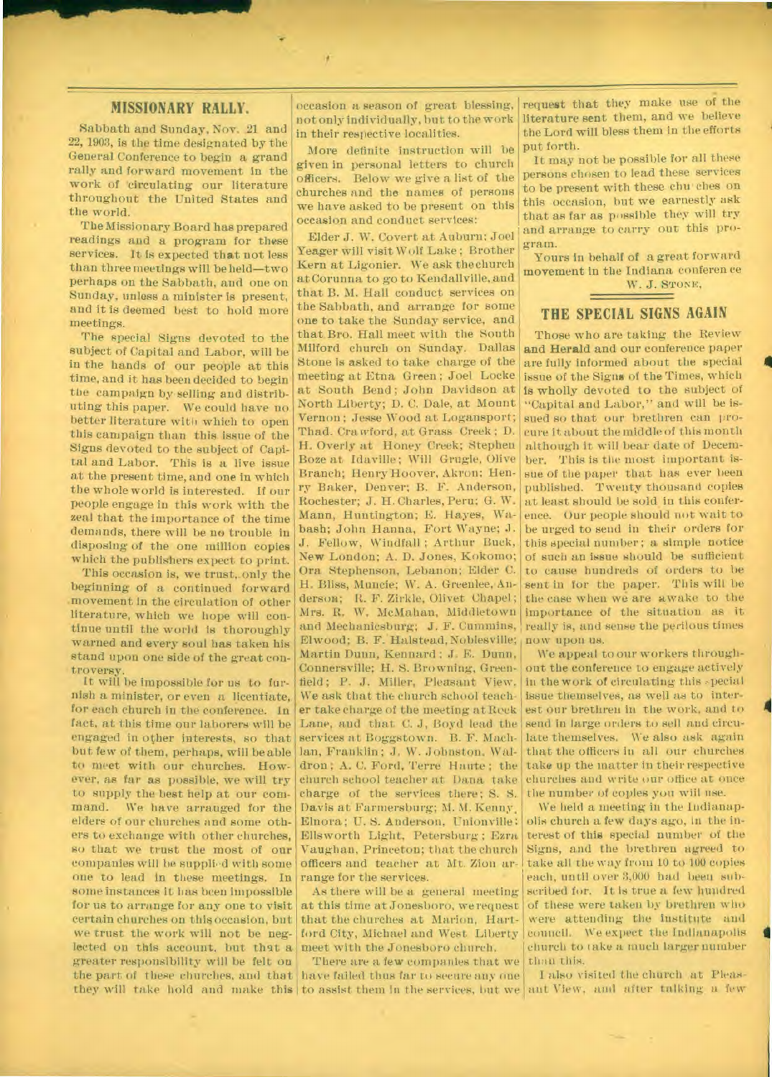#### **MISSIONARY RALLY.**

Sabbath and Sunday, Nov. 21 and 22, 1903, is the time designated by the General Conference to begin a grand rally and forward movement in the work of 'circulating our literature throughout the United States and the world.

The Missionary Board has prepared readings and a program for these services. It is expected that not less than three meetings will be held—two perhaps on the Sabbath, and one on Sunday, unless a minister is present, and it is deemed best to hold more meetings.

The special Signs devoted to the subject of Capital and Labor, will be in the hands of our people at this time, and it has been decided to begin the campaign by selling and distributing this paper. We could have no better literature with which to open this campaign than this issue of the Signs devoted to the subject of Capital and Labor. This is a live issue at the present time, and one in which the whole world is interested. If our people engage in this work with the zeal that the importance of the time demands, there will be no trouble in disposing of the one million copies which the publishers expect to print.

This occasion is, we trust, only the beginning of a continued forward movement in the circulation of other literature, which we hope will continue until the world is thoroughly warned and every soul has taken his stand upon one side of the great controversy.

It will be impossible for us to furnish a minister, or even a licentiate, for each church in the conference. In fact, at this time our laborers will be engaged in other interests, so that but few of them, perhaps, will be able to meet with our churches. However, as far as possible, we will try to supply the best help at our com-<br>mand. We have arranged for the We have arranged for the elders of our churches and some others to exchange with other churches, so that we trust the most of our companies will be supplied with some one to lead in these meetings. In some instances it has been impossible for us to arrange for any one to visit certain churches on this occasion, but we trust the work will not be neglected on this account, but that a greater responsibility will be felt on the part of these churches, and that they will take hold and make this to assist them in the services, but we ant View, and after talking a few

occasion a season of great blessing, not only individually, but to the work in their respective localities.

More definite instruction will he given in personal letters to church officers. Below we give a list of the churches and the names of persons we have asked to be present on this occasion and conduct services:

Elder J. W. Covert at Auburn; Joel Yeager will visit Wolf Lake ; Brother Kern at Ligonier. We ask the church at Corunna to go to Kendallville, and that B. M. Hall conduct services on the Sabbath, and arrange for some one to take the Sunday service, and that. Bro. Hall meet with the South Milford church on Sunday. Dallas Stone is asked to take charge of the meeting at Etna Green; Joel Locke at South Bend; John Davidson at North Liberty; D. C. Dale, at Mount Vernon ; Jesse Wood at Logansport; Thad. Crawford, at Grass Creek; D. H. Overly at Honey Creek; Stephen Boze at Idaville ; Will Grugle, Olive Branch; Henry Hoover, Akron: Henry Baker, Denver; B. F. Anderson, Rochester; J. H. Charles, Peru; G. W. Mann, Huntington; E. Hayes, Wabash; John Hanna, Fort Wayne; J. J. Fellow, Windfall ; Arthur Buck, New London; A. D. Jones, Kokomo; Ora Stephenson, Lebanon; Elder C. H. Bliss, Muncie; W. A. Greenlee, Anderson; R. F. Zirkle, Olivet Chapel; Mrs. R. W. McMahan, Middletown and Mechanicsburg; J. F. Cummins, Elwood; B. F. Halstead, Noblesville; now upon us. Martin Dunn, Kennard ; J. E. Dunn, Connersville; H. S. Browning, Greenfield ; P. J. Miller, Pleasant View. We ask that the church school teacher take charge of the meeting at Reck Lane, and that C. J, Boyd lead the services at Boggstown. B. F. Machlan, Franklin ; J. W. Johnston. Waldron; A. C. Ford, Terre Haute; the church school teacher at Dana take charge of the services there; S. S. Davis at Farmersburg; M. M. Kenny, Eluora; U. S. Anderson, Unionville: Ellsworth Light, Petersburg ; Ezra Vaughan, Princeton; that the church officers and teacher at Mt. Zion arrange for the services.

As there will be a general meeting at this time at Jonesboro, we request that the churches at Marion, Hartford City, Michael and West Liberty meet with the Jonesboro church.

There are a few companies that we than this. have failed thus far to secure any one

request that they make use of the literature sent them, and we believe the Lord will bless them in the efforts put forth.

It may not be possible for all these persons chosen to lead these services to be present with these chu• ches on this occasion, but we earnestly ask that as far as possible they will try and arrange to carry out this program.

Yours in behalf of a great forward movement in the Indiana conferen ce W. J. STONE,

# **THE SPECIAL SIGNS AGAIN**

Those who are taking the Review and Herald and our conference paper are fully informed about the special issue of the Signs of the Times, which is wholly devoted to the subject of "Capital and Labor," and will be issued so that our brethren can procure it about the middle of this month although it will bear date of December. This is the most important issue of the paper that has ever been published. Twenty thousand copies at least should be sold in this conference. Our people should not wait to be urged to send in their orders for this special number; a simple notice of such an issue should be sufficient to cause hundreds of orders to be sent in for the paper. This will be the case when we are awake to the importance of the situation as it really is, and sense the perilous times

We appeal to our workers throughout the conference to engage actively in the work of circulating this special est our brethren in the work, and to issue themselves, as well as to intersend in large orders to sell and circulate themselves. We also ask again that the officers in all our churches take up the matter in their respective churches and write our office at once the number of copies you wiil use.

**A** 

We held a meeting in the Indianapolis church a few days ago, in the interest of this special number of the Signs, and the brethren agreed to take all the way from 10 to 190 copies each, until over 3,000 had beau subscribed for. It is true a few hundred of these were taken by brethren who were attending the institute and council. We expect the Indianapolis church to take a much larger number

I also visited the church at Pleas-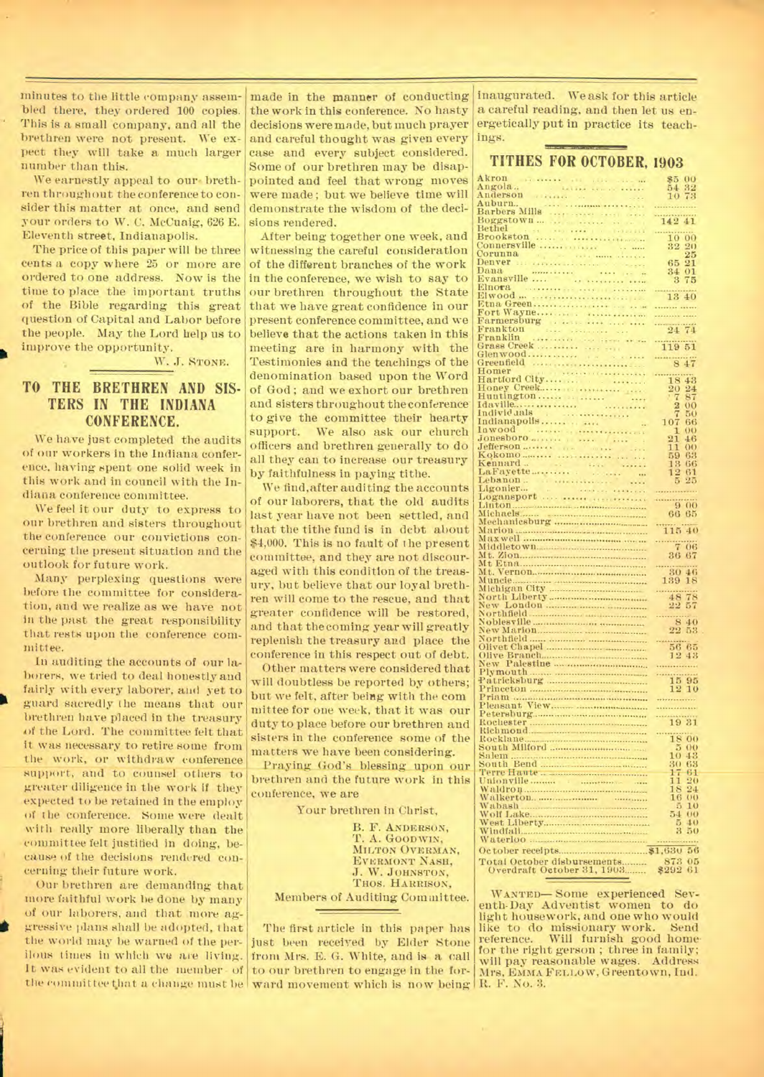minutes to the little company assembled there, they ordered 100 copies. This is a small company, and all the brethren were not present. We expect they will take a much larger number than this.

We earnestly appeal to our brethren throughout the conference to consider this matter at once, and send your orders to W. C. McCuaig, 626 E. Eleventh street, Indianapolis.

The price of this paper will be three cents a copy where 25 or more are ordered to one address. Now is the time to place the important truths of the Bible regarding this great question of Capital and Labor before the people. May the Lord help us to improve the opportunity.

W. J. STONE.

#### **TO THE BRETHREN AND SIS-TERS IN THE INDIANA CONFERENCE.**

We have just completed the audits of our workers in the Indiana conference, having spent one solid week in this work and in council with the Indiana conference committee.

We feel it our duty to express to our brethren and sisters throughout the conference our convictions concerning the present situation and the outlook for future work.

Many perplexing questions were before the committee for consideration, and we realize as we have not in the past the great responsibility that rests upon the conference committee.

In auditing the accounts of our laborers, we tried to deal honestly and fairly with every laborer, and yet to guard sacredly the means that our brethren have placed in the treasury *4)f* the Lord. The committee felt that it was necessary to retire some from the work, or withdraw conference support, and to counsel others to greater diligence in the work if they expected to be retained in the employ of the conference. Some were dealt with really more liberally than the committee felt justified in doing, because of the decisions rendered concerning their future work.

Our brethren are demanding that more faithful work he done by many of our laborers, and that more aggressive plans shall be adopted, that the world may be warned of the perilous times in which we are living. It was evident to all the member - of

the work in this conference. No hasty decisions were made, but much prayer and careful thought was given every case and every subject considered. Some of our brethren may be disappointed and feel that wrong moves were made; but we believe time will demonstrate the wisdom of the decisions rendered.

After being together one week, and witnessing the careful consideration of the different branches of the work in the conference, we wish to say to our brethren throughout the State that we have great confidence in our present conference committee, and we believe that the actions taken in this meeting are in harmony with the Testimonies and the teachings of the denomination based upon the Word of God ; and we exhort our brethren and sisters throughout the conference to give the committee their hearty support. We also ask our church officers and brethren generally to do all they can to increase our treasury by faithfulness in paying tithe.

We find,after auditing the accounts of our laborers, that the old audits last year have not been settled, and that the tithe fund is in debt about \$4,000. This is no fault of the present committee, and they are not discouraged with this condition of the treasury, but believe that our loyal brethren will come to the rescue, and that greater confidence will be restored, and that the coming year will greatly replenish the treasury and place the conference in this respect out of debt.

Other matters were considered that will doubtless be reported by others; but we felt, after being with the com mittee for one week, that it was our duty to place before our brethren and sisters in the conference some of the matters we have been considering.

Praying God's blessing upon our brethren and the future work in this conference, we are

Your brethren in Christ,

B. F. ANDERSON, T. A. GOODWIN, MILTON OVERMAN. EVEEMONT NASH, J. W. JOHNSTON, THOS. HARRISON, Members of Auditing Committee.

the eommittee that a change must be ward movement which is now being H. F. No. 3. The first article in this paper has just been received by Elder Stone from Mrs. E. G. White, and is a call to our brethren to engage in the for-

made in the manner of conducting inaugurated. We ask for this article a careful reading, and then let us energetically put in practice its teachings.

## TITHES FOR OCTOBER, 1903

| $_{00}$                       |
|-------------------------------|
| 32                            |
|                               |
|                               |
|                               |
|                               |
| 41                            |
|                               |
|                               |
| 00                            |
| 20                            |
| $\bar{2}5$                    |
|                               |
| 21                            |
| 01                            |
| 75                            |
|                               |
| 13 40                         |
|                               |
|                               |
|                               |
|                               |
|                               |
| 24 74                         |
|                               |
| 119 51                        |
|                               |
|                               |
| ng.                           |
|                               |
| 43                            |
|                               |
| $^{24}$                       |
| $\overline{8}$                |
| 0 <sub>0</sub>                |
|                               |
| 50                            |
| 66                            |
|                               |
| $_{00}$                       |
| 46                            |
| $\Omega$ <sup>()</sup>        |
|                               |
| 63                            |
| 66                            |
| 61                            |
| 25                            |
|                               |
|                               |
|                               |
| $-9.00$                       |
|                               |
| 65                            |
|                               |
| 115 40                        |
|                               |
| $-706$                        |
|                               |
| 36 67                         |
|                               |
|                               |
|                               |
| 46                            |
| 139 18                        |
|                               |
|                               |
|                               |
|                               |
| $\frac{48}{22}\frac{78}{57}$  |
|                               |
| $-840$                        |
| 53                            |
|                               |
| 65                            |
|                               |
|                               |
|                               |
|                               |
|                               |
|                               |
|                               |
|                               |
| $\frac{15}{12} \frac{95}{10}$ |
|                               |
|                               |
|                               |
| 19 31                         |
| O()                           |
|                               |
| $^{00}$                       |
| 43                            |
| 63                            |
| 61                            |
|                               |
| $_{20}$                       |
| $\overline{24}$               |
| O()                           |
| 10                            |
|                               |
| 00                            |
| 40                            |
| 50                            |
|                               |
|                               |
| 56                            |
|                               |
| 05<br>61                      |

WANTED— Some experienced Seventh-Day Adventist women to do light housework, and one who would like to do missionary work. Send reference. Will furnish good homefor the right gerson ; three in family; will pay reasonable wages. Address Mrs, EMMA FELLOW, Greentown, Ind.